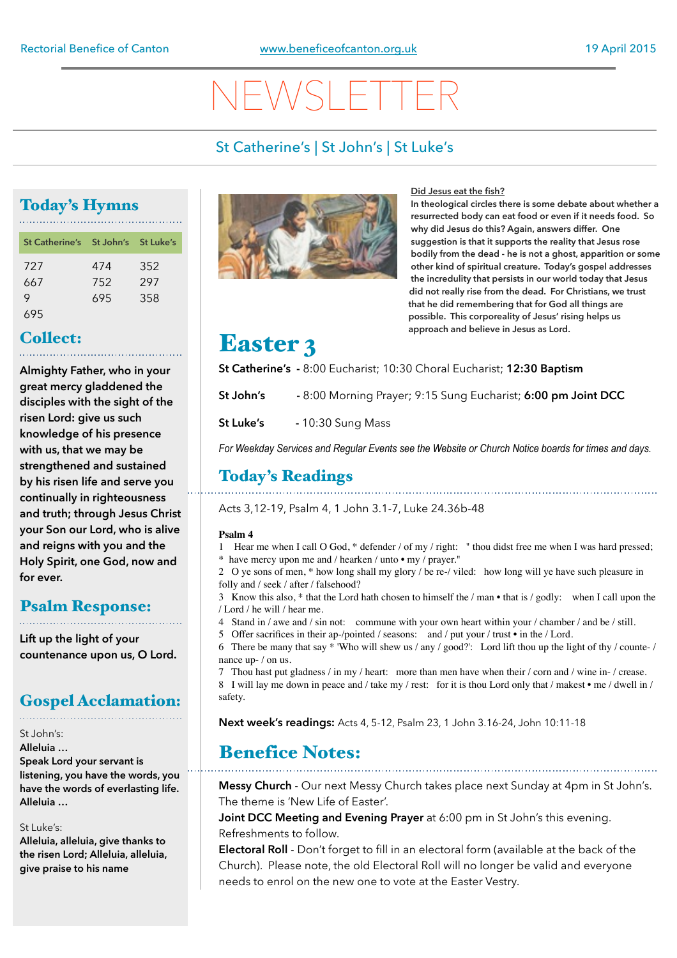# NEWSLETTER

## St Catherine's | St John's | St Luke's

## Today's Hymns

| St Catherine's St John's St Luke's |     |     |
|------------------------------------|-----|-----|
| 727                                | 474 | 352 |
| 667                                | 752 | 297 |
| 9                                  | 695 | 358 |
| 695                                |     |     |

## Collect:

**Almighty Father, who in your great mercy gladdened the disciples with the sight of the risen Lord: give us such knowledge of his presence with us, that we may be strengthened and sustained by his risen life and serve you continually in righteousness and truth; through Jesus Christ your Son our Lord, who is alive and reigns with you and the Holy Spirit, one God, now and for ever.**

## Psalm Response:

**Lift up the light of your countenance upon us, O Lord.**

## Gospel Acclamation:

### St John's:

**Alleluia … Speak Lord your servant is listening, you have the words, you** 

**have the words of everlasting life. Alleluia …** 

### St Luke's:

**Alleluia, alleluia, give thanks to the risen Lord; Alleluia, alleluia, give praise to his name**



### **Did Jesus eat the fish?**

**In theological circles there is some debate about whether a resurrected body can eat food or even if it needs food. So why did Jesus do this? Again, answers differ. One suggestion is that it supports the reality that Jesus rose bodily from the dead - he is not a ghost, apparition or some other kind of spiritual creature. Today's gospel addresses the incredulity that persists in our world today that Jesus did not really rise from the dead. For Christians, we trust that he did remembering that for God all things are possible. This corporeality of Jesus' rising helps us approach and believe in Jesus as Lord.**

## Easter 3

**St Catherine's -** 8:00 Eucharist; 10:30 Choral Eucharist; **12:30 Baptism**

**St John's -** 8:00 Morning Prayer; 9:15 Sung Eucharist; **6:00 pm Joint DCC** 

**St Luke's** - 10:30 Sung Mass

*For Weekday Services and Regular Events see the Website or Church Notice boards for times and days.*

## Today's Readings

Acts 3,12-19, Psalm 4, 1 John 3.1-7, Luke 24.36b-48

### **Psalm 4**

1 Hear me when I call O God, \* defender / of my / right: " thou didst free me when I was hard pressed; \* have mercy upon me and / hearken / unto • my / prayer."

2 O ye sons of men, \* how long shall my glory / be re-/ viled: how long will ye have such pleasure in folly and / seek / after / falsehood?

3 Know this also, \* that the Lord hath chosen to himself the / man • that is / godly: when I call upon the / Lord / he will / hear me.

- 4 Stand in / awe and / sin not: commune with your own heart within your / chamber / and be / still.
- 5 Offer sacrifices in their ap-/pointed / seasons: and / put your / trust in the / Lord.
- 6 There be many that say \* 'Who will shew us / any / good?': Lord lift thou up the light of thy / counte- / nance up- / on us.

7 Thou hast put gladness / in my / heart: more than men have when their / corn and / wine in- / crease. 8 I will lay me down in peace and / take my / rest: for it is thou Lord only that / makest • me / dwell in / safety.

**Next week's readings:** Acts 4, 5-12, Psalm 23, 1 John 3.16-24, John 10:11-18

## Benefice Notes:

**Messy Church** - Our next Messy Church takes place next Sunday at 4pm in St John's. The theme is 'New Life of Easter'.

**Joint DCC Meeting and Evening Prayer** at 6:00 pm in St John's this evening. Refreshments to follow.

**Electoral Roll** - Don't forget to fill in an electoral form (available at the back of the Church). Please note, the old Electoral Roll will no longer be valid and everyone needs to enrol on the new one to vote at the Easter Vestry.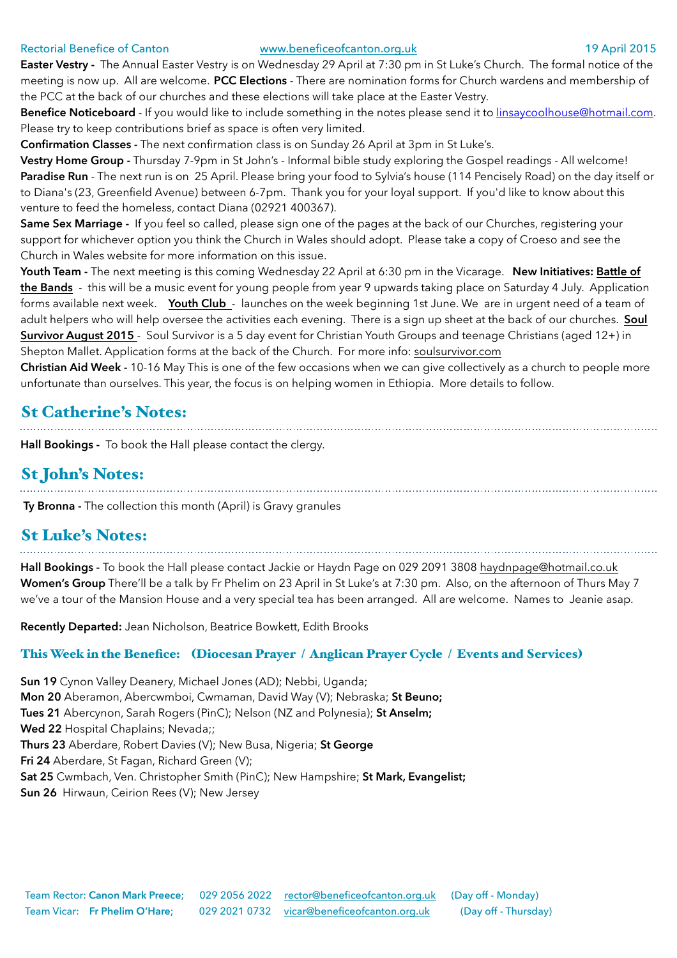### Rectorial Benefice of Canton [www.beneficeofcanton.org.uk](http://www.beneficeofcanton.org.uk) 19 April 2015

**Easter Vestry -** The Annual Easter Vestry is on Wednesday 29 April at 7:30 pm in St Luke's Church. The formal notice of the meeting is now up. All are welcome. **PCC Elections** - There are nomination forms for Church wardens and membership of the PCC at the back of our churches and these elections will take place at the Easter Vestry.

**Benefice Noticeboard** - If you would like to include something in the notes please send it to [linsaycoolhouse@hotmail.com](mailto:linsaycoolhouse@hotmail.com). Please try to keep contributions brief as space is often very limited.

**Confirmation Classes -** The next confirmation class is on Sunday 26 April at 3pm in St Luke's.

**Vestry Home Group -** Thursday 7-9pm in St John's - Informal bible study exploring the Gospel readings - All welcome! Paradise Run - The next run is on 25 April. Please bring your food to Sylvia's house (114 Pencisely Road) on the day itself or to Diana's (23, Greenfield Avenue) between 6-7pm. Thank you for your loyal support. If you'd like to know about this venture to feed the homeless, contact Diana (02921 400367).

**Same Sex Marriage -** If you feel so called, please sign one of the pages at the back of our Churches, registering your support for whichever option you think the Church in Wales should adopt. Please take a copy of Croeso and see the Church in Wales website for more information on this issue.

**Youth Team -** The next meeting is this coming Wednesday 22 April at 6:30 pm in the Vicarage. **New Initiatives: Battle of the Bands** - this will be a music event for young people from year 9 upwards taking place on Saturday 4 July. Application forms available next week. Youth Club - launches on the week beginning 1st June. We are in urgent need of a team of adult helpers who will help oversee the activities each evening. There is a sign up sheet at the back of our churches. **Soul Survivor August 2015** - Soul Survivor is a 5 day event for Christian Youth Groups and teenage Christians (aged 12+) in Shepton Mallet. Application forms at the back of the Church. For more info: soulsurvivor.com

**Christian Aid Week -** 10-16 May This is one of the few occasions when we can give collectively as a church to people more unfortunate than ourselves. This year, the focus is on helping women in Ethiopia. More details to follow.

## St Catherine's Notes:

**Hall Bookings -** To book the Hall please contact the clergy.

## St John's Notes:

**Ty Bronna -** The collection this month (April) is Gravy granules

## St Luke's Notes:

**Hall Bookings -** To book the Hall please contact Jackie or Haydn Page on 029 2091 3808 [haydnpage@hotmail.co.uk](mailto:haydnpage@hotmail.co.uk) **Women's Group** There'll be a talk by Fr Phelim on 23 April in St Luke's at 7:30 pm. Also, on the afternoon of Thurs May 7 we've a tour of the Mansion House and a very special tea has been arranged. All are welcome. Names to Jeanie asap.

**Recently Departed:** Jean Nicholson, Beatrice Bowkett, Edith Brooks

### This Week in the Benefice: (Diocesan Prayer / Anglican Prayer Cycle / Events and Services)

**Sun 19** Cynon Valley Deanery, Michael Jones (AD); Nebbi, Uganda; **Mon 20** Aberamon, Abercwmboi, Cwmaman, David Way (V); Nebraska; **St Beuno; Tues 21** Abercynon, Sarah Rogers (PinC); Nelson (NZ and Polynesia); **St Anselm; Wed 22** Hospital Chaplains; Nevada;; **Thurs 23** Aberdare, Robert Davies (V); New Busa, Nigeria; **St George Fri 24** Aberdare, St Fagan, Richard Green (V); **Sat 25** Cwmbach, Ven. Christopher Smith (PinC); New Hampshire; **St Mark, Evangelist; Sun 26** Hirwaun, Ceirion Rees (V); New Jersey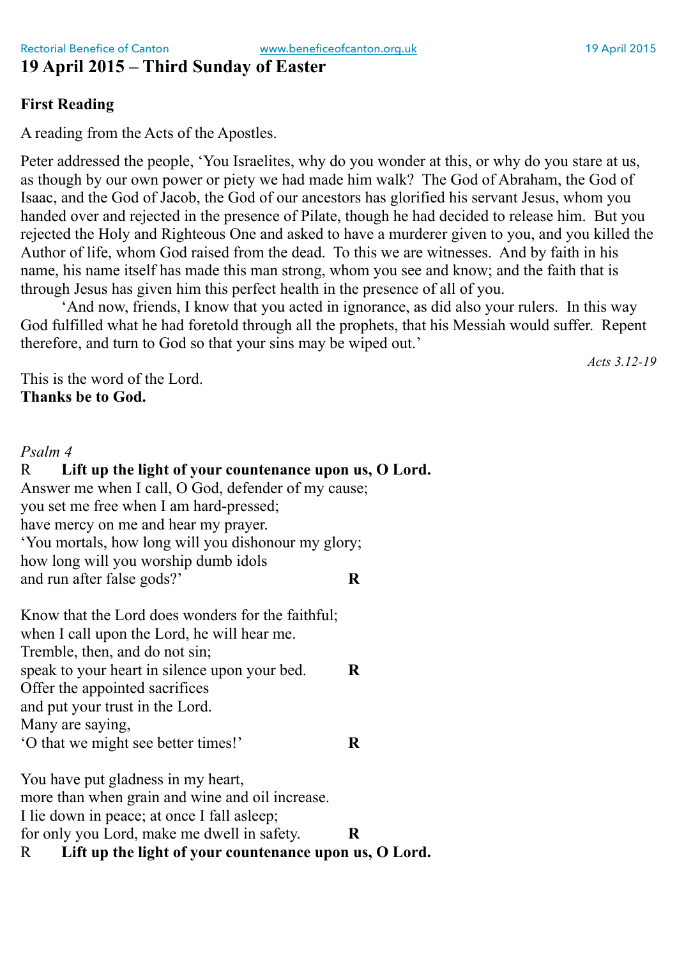## **19 April 2015 – Third Sunday of Easter**

## **First Reading**

A reading from the Acts of the Apostles.

Peter addressed the people, 'You Israelites, why do you wonder at this, or why do you stare at us, as though by our own power or piety we had made him walk? The God of Abraham, the God of Isaac, and the God of Jacob, the God of our ancestors has glorified his servant Jesus, whom you handed over and rejected in the presence of Pilate, though he had decided to release him. But you rejected the Holy and Righteous One and asked to have a murderer given to you, and you killed the Author of life, whom God raised from the dead. To this we are witnesses. And by faith in his name, his name itself has made this man strong, whom you see and know; and the faith that is through Jesus has given him this perfect health in the presence of all of you.

'And now, friends, I know that you acted in ignorance, as did also your rulers. In this way God fulfilled what he had foretold through all the prophets, that his Messiah would suffer. Repent therefore, and turn to God so that your sins may be wiped out.'

*Acts 3.12-19*

This is the word of the Lord. **Thanks be to God.**

### *Psalm 4*

R **Lift up the light of your countenance upon us, O Lord.** Answer me when I call, O God, defender of my cause; you set me free when I am hard-pressed; have mercy on me and hear my prayer. 'You mortals, how long will you dishonour my glory; how long will you worship dumb idols and run after false gods?' **R**

Know that the Lord does wonders for the faithful; when I call upon the Lord, he will hear me. Tremble, then, and do not sin; speak to your heart in silence upon your bed. **R** Offer the appointed sacrifices and put your trust in the Lord. Many are saying, 'O that we might see better times!' **R**

You have put gladness in my heart, more than when grain and wine and oil increase. I lie down in peace; at once I fall asleep; for only you Lord, make me dwell in safety. **R** R **Lift up the light of your countenance upon us, O Lord.**